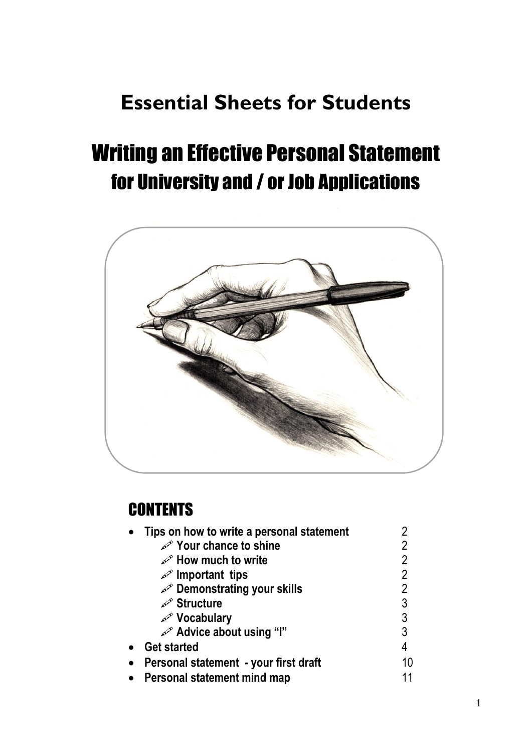# **Essential Sheets for Students**

# Writing an Effective Personal Statement for University and / or Job Applications



## **CONTENTS**

| Tips on how to write a personal statement |                |
|-------------------------------------------|----------------|
| <b>Solur chance to shine</b>              | 2              |
| <b>Solution</b> How much to write         | 2              |
| $\mathscr{P}$ Important tips              | $\overline{2}$ |
| Demonstrating your skills                 | $\overline{2}$ |
| Structure                                 | 3              |
| Nocabulary                                | $\overline{3}$ |
| Advice about using "I"                    | 3              |
| <b>Get started</b>                        | 4              |
| Personal statement - your first draft     | 10             |
| Personal statement mind map               |                |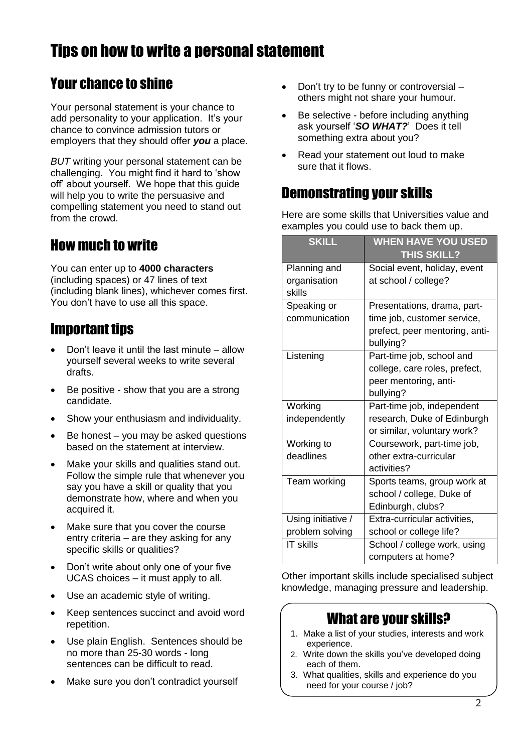## Tips on how to write a personal statement

### Your chance to shine

Your personal statement is your chance to add personality to your application. It's your chance to convince admission tutors or employers that they should offer *you* a place.

*BUT* writing your personal statement can be challenging. You might find it hard to 'show off' about yourself. We hope that this guide will help you to write the persuasive and compelling statement you need to stand out from the crowd.

### How much to write

You can enter up to **4000 characters** (including spaces) or 47 lines of text (including blank lines), whichever comes first. You don't have to use all this space.

### Important tips

- Don't leave it until the last minute allow yourself several weeks to write several drafts.
- Be positive show that you are a strong candidate.
- Show your enthusiasm and individuality.
- Be honest you may be asked questions based on the statement at interview.
- Make your skills and qualities stand out. Follow the simple rule that whenever you say you have a skill or quality that you demonstrate how, where and when you acquired it.
- Make sure that you cover the course entry criteria – are they asking for any specific skills or qualities?
- Don't write about only one of your five UCAS choices – it must apply to all.
- Use an academic style of writing.
- Keep sentences succinct and avoid word repetition.
- Use plain English. Sentences should be no more than 25-30 words - long sentences can be difficult to read.
- Make sure you don't contradict yourself
- Don't try to be funny or controversial others might not share your humour.
- Be selective before including anything ask yourself '*SO WHAT?*' Does it tell something extra about you?
- Read your statement out loud to make sure that it flows.

### Demonstrating your skills

Here are some skills that Universities value and examples you could use to back them up.

| <b>SKILL</b>           | <b>WHEN HAVE YOU USED</b><br><b>THIS SKILL?</b> |
|------------------------|-------------------------------------------------|
| Planning and           | Social event, holiday, event                    |
| organisation<br>skills | at school / college?                            |
| Speaking or            | Presentations, drama, part-                     |
| communication          | time job, customer service,                     |
|                        | prefect, peer mentoring, anti-                  |
|                        | bullying?                                       |
| Listening              | Part-time job, school and                       |
|                        | college, care roles, prefect,                   |
|                        | peer mentoring, anti-                           |
|                        | bullying?                                       |
| Working                | Part-time job, independent                      |
| independently          | research, Duke of Edinburgh                     |
|                        | or similar, voluntary work?                     |
| Working to             | Coursework, part-time job,                      |
| deadlines              | other extra-curricular                          |
|                        | activities?                                     |
| Team working           | Sports teams, group work at                     |
|                        | school / college, Duke of                       |
|                        | Edinburgh, clubs?                               |
| Using initiative /     | Extra-curricular activities,                    |
| problem solving        | school or college life?                         |
| <b>IT skills</b>       | School / college work, using                    |
|                        | computers at home?                              |

Other important skills include specialised subject knowledge, managing pressure and leadership.

### What are your skills?

- 1. Make a list of your studies, interests and work experience.
- 2. Write down the skills you've developed doing each of them.
- 3. What qualities, skills and experience do you need for your course / job?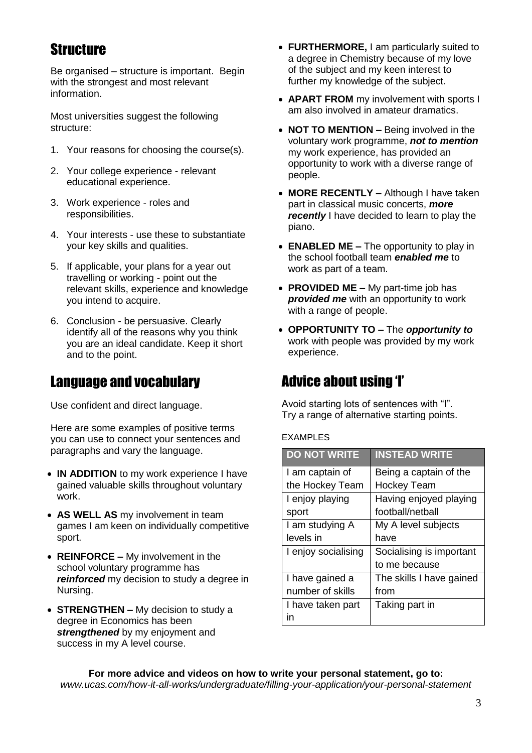### **Structure**

Be organised – structure is important. Begin with the strongest and most relevant information.

Most universities suggest the following structure:

- 1. Your reasons for choosing the course(s).
- 2. Your college experience relevant educational experience.
- 3. Work experience roles and responsibilities.
- 4. Your interests use these to substantiate your key skills and qualities.
- 5. If applicable, your plans for a year out travelling or working - point out the relevant skills, experience and knowledge you intend to acquire.
- 6. Conclusion be persuasive. Clearly identify all of the reasons why you think you are an ideal candidate. Keep it short and to the point.

### Language and vocabulary

Use confident and direct language.

Here are some examples of positive terms you can use to connect your sentences and paragraphs and vary the language.

- **IN ADDITION** to my work experience I have gained valuable skills throughout voluntary work.
- **AS WELL AS** my involvement in team games I am keen on individually competitive sport.
- **REINFORCE –** My involvement in the school voluntary programme has *reinforced* my decision to study a degree in Nursing.
- **STRENGTHEN –** My decision to study a degree in Economics has been *strengthened* by my enjoyment and success in my A level course.
- **FURTHERMORE,** I am particularly suited to a degree in Chemistry because of my love of the subject and my keen interest to further my knowledge of the subject.
- **APART FROM** my involvement with sports I am also involved in amateur dramatics.
- **NOT TO MENTION –** Being involved in the voluntary work programme, *not to mention* my work experience, has provided an opportunity to work with a diverse range of people.
- **MORE RECENTLY –** Although I have taken part in classical music concerts, *more recently* I have decided to learn to play the piano.
- **ENABLED ME –** The opportunity to play in the school football team *enabled me* to work as part of a team.
- **PROVIDED ME –** My part-time job has *provided me* with an opportunity to work with a range of people.
- **OPPORTUNITY TO –** The *opportunity to* work with people was provided by my work experience.

### Advice about using 'I'

Avoid starting lots of sentences with "I". Try a range of alternative starting points.

EXAMPLES

| <b>DO NOT WRITE</b> | <b>INSTEAD WRITE</b>     |
|---------------------|--------------------------|
| I am captain of     | Being a captain of the   |
| the Hockey Team     | Hockey Team              |
| I enjoy playing     | Having enjoyed playing   |
| sport               | football/netball         |
| I am studying A     | My A level subjects      |
| levels in           | have                     |
| I enjoy socialising | Socialising is important |
|                     | to me because            |
| I have gained a     | The skills I have gained |
| number of skills    | from                     |
| I have taken part   | Taking part in           |
| ın                  |                          |

**For more advice and videos on how to write your personal statement, go to:** *www.ucas.com/how-it-all-works/undergraduate/filling-your-application/your-personal-statement*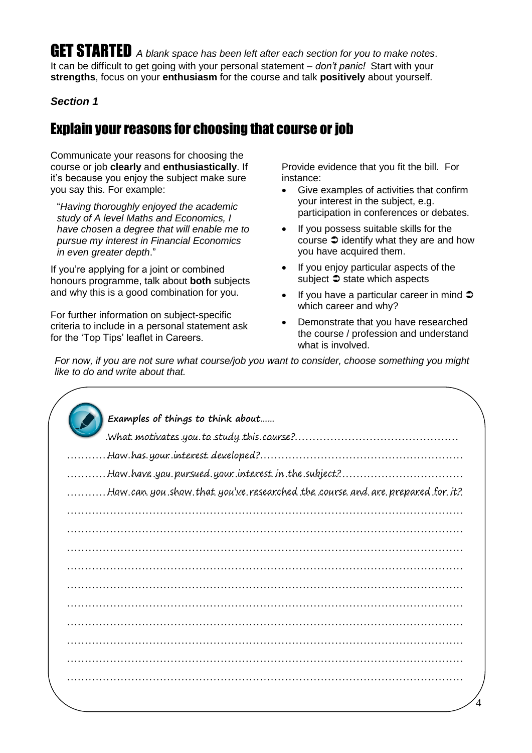GET STARTED *A blank space has been left after each section for you to make notes*. It can be difficult to get going with your personal statement – *don't panic!* Start with your **strengths**, focus on your **enthusiasm** for the course and talk **positively** about yourself.

#### *Section 1*

### Explain your reasons for choosing that course or job

Communicate your reasons for choosing the course or job **clearly** and **enthusiastically**. If it's because you enjoy the subject make sure you say this. For example:

"*Having thoroughly enjoyed the academic study of A level Maths and Economics, I have chosen a degree that will enable me to pursue my interest in Financial Economics in even greater depth*."

If you're applying for a joint or combined honours programme, talk about **both** subjects and why this is a good combination for you.

For further information on subject-specific criteria to include in a personal statement ask for the 'Top Tips' leaflet in Careers.

Provide evidence that you fit the bill. For instance:

- Give examples of activities that confirm your interest in the subject, e.g. participation in conferences or debates.
- If you possess suitable skills for the course  $\supset$  identify what they are and how you have acquired them.
- If you enjoy particular aspects of the subject  $\supset$  state which aspects
- $\bullet$  If you have a particular career in mind  $\bullet$ which career and why?
- Demonstrate that you have researched the course / profession and understand what is involved.

*For now, if you are not sure what course/job you want to consider, choose something you might like to do and write about that.*

| Examples of things to think about                                            |
|------------------------------------------------------------------------------|
| What motivates you to study this course?                                     |
| How has your interest developed?                                             |
|                                                                              |
| How.can.you.show.that.you've.researched.the.course.and.are.prepared.for.it?. |
|                                                                              |
|                                                                              |
|                                                                              |
|                                                                              |
|                                                                              |
|                                                                              |
|                                                                              |
|                                                                              |
|                                                                              |
|                                                                              |

…………………………………………………………………………………………………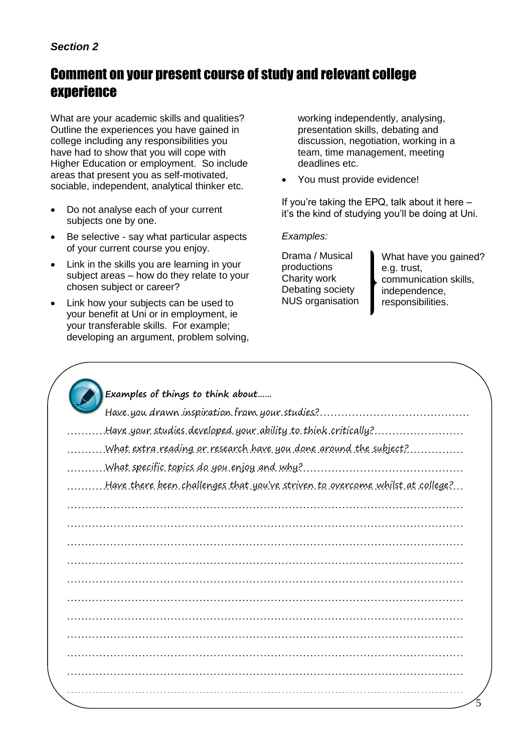#### *Section 2*

### Comment on your present course of study and relevant college experience

What are your academic skills and qualities? Outline the experiences you have gained in college including any responsibilities you have had to show that you will cope with Higher Education or employment. So include areas that present you as self-motivated, sociable, independent, analytical thinker etc.

- Do not analyse each of your current subjects one by one.
- Be selective say what particular aspects of your current course you enjoy.
- Link in the skills you are learning in your subject areas – how do they relate to your chosen subject or career?
- Link how your subjects can be used to your benefit at Uni or in employment, ie your transferable skills. For example; developing an argument, problem solving,

working independently, analysing, presentation skills, debating and discussion, negotiation, working in a team, time management, meeting deadlines etc.

• You must provide evidence!

If you're taking the EPQ, talk about it here – it's the kind of studying you'll be doing at Uni.

#### *Examples:*

Drama / Musical productions Charity work Debating society NUS organisation

What have you gained? e.g. trust, communication skills, independence, responsibilities.

| Examples of things to think about                                             |
|-------------------------------------------------------------------------------|
| Have.you drawn.inspiration.fram.your.studies?.                                |
| Have your studies developed your ability to think critically?                 |
| .What extra reading or research have you done around the subject?             |
| . What specific topics do you enjoy and why?                                  |
| Have there been challenges that you've striven to overcome whilst at college? |
|                                                                               |
|                                                                               |
|                                                                               |
|                                                                               |
|                                                                               |
|                                                                               |
|                                                                               |
|                                                                               |
|                                                                               |
|                                                                               |
|                                                                               |
|                                                                               |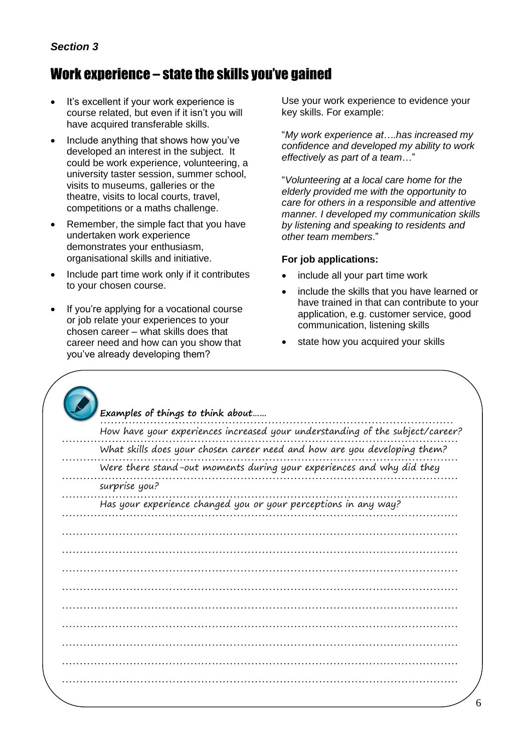### Work experience - state the skills you've gained

- It's excellent if your work experience is  $\bullet$ course related, but even if it isn't you will have acquired transferable skills.
- Include anything that shows how you've developed an interest in the subject. It could be work experience, volunteering, a university taster session, summer school, visits to museums, galleries or the theatre, visits to local courts, travel, competitions or a maths challenge.
- Remember, the simple fact that you have undertaken work experience demonstrates your enthusiasm, organisational skills and initiative.
- Include part time work only if it contributes to your chosen course.
- If you're applying for a vocational course or job relate your experiences to your chosen career - what skills does that career need and how can you show that you've already developing them?

Use your work experience to evidence your key skills. For example:

"My work experience at....has increased my confidence and developed my ability to work effectively as part of a team..."

"Volunteering at a local care home for the elderly provided me with the opportunity to care for others in a responsible and attentive manner. I developed my communication skills by listening and speaking to residents and other team members."

#### For job applications:

- include all your part time work
- include the skills that you have learned or have trained in that can contribute to your application, e.g. customer service, good communication, listening skills
- state how you acquired your skills

| How have your experiences increased your understanding of the subject/career? |
|-------------------------------------------------------------------------------|
| What skills does your chosen career need and how are you developing them?     |
| Were there stand-out moments during your experiences and why did they         |
| surprise you?                                                                 |
| Has your experience changed you or your perceptions in any way?               |
|                                                                               |
|                                                                               |
|                                                                               |
|                                                                               |
|                                                                               |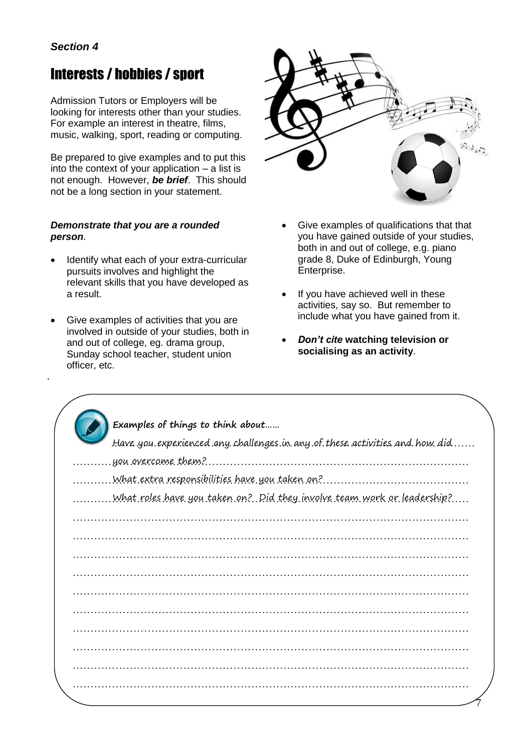•

### Interests / hobbies / sport

Admission Tutors or Employers will be looking for interests other than your studies. For example an interest in theatre, films, music, walking, sport, reading or computing.

Be prepared to give examples and to put this into the context of your application – a list is not enough. However, *be brief*. This should not be a long section in your statement.

#### *Demonstrate that you are a rounded person*.

- Identify what each of your extra-curricular pursuits involves and highlight the relevant skills that you have developed as a result.
- Give examples of activities that you are involved in outside of your studies, both in and out of college, eg. drama group, Sunday school teacher, student union officer, etc.



- Give examples of qualifications that that you have gained outside of your studies, both in and out of college, e.g. piano grade 8, Duke of Edinburgh, Young Enterprise.
- If you have achieved well in these activities, say so. But remember to include what you have gained from it.
- *Don't cite* **watching television or socialising as an activity**.

| Examples of things to think about                                          |  |
|----------------------------------------------------------------------------|--|
| Have you experienced any challenges in any of these activities and how did |  |
| you overcome them?                                                         |  |
|                                                                            |  |
| .What.roles.have.you.taken.on?Did.they.involve.team.work.or.leadership?    |  |
|                                                                            |  |
|                                                                            |  |
|                                                                            |  |
|                                                                            |  |
|                                                                            |  |
|                                                                            |  |
|                                                                            |  |
|                                                                            |  |
|                                                                            |  |
|                                                                            |  |
|                                                                            |  |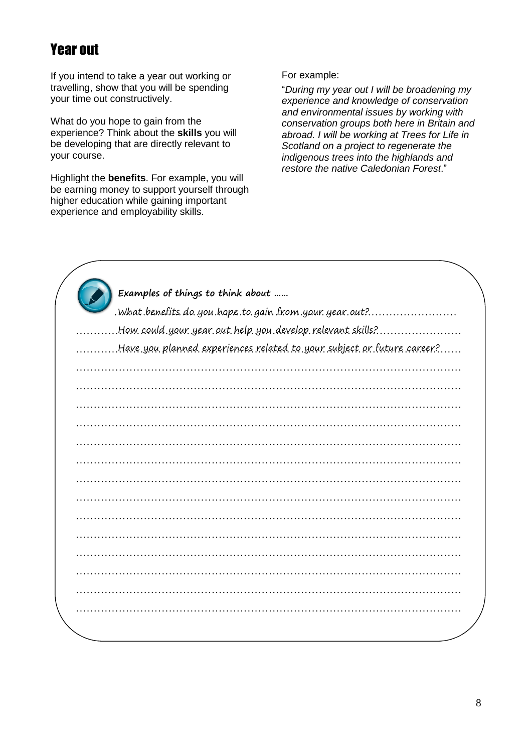### Year out

 $\sim$ 

If you intend to take a year out working or travelling, show that you will be spending your time out constructively.

What do you hope to gain from the experience? Think about the **skills** you will be developing that are directly relevant to your course.

Highlight the **benefits**. For example, you will be earning money to support yourself through higher education while gaining important experience and employability skills.

For example:

"*During my year out I will be broadening my experience and knowledge of conservation and environmental issues by working with conservation groups both here in Britain and abroad. I will be working at Trees for Life in Scotland on a project to regenerate the indigenous trees into the highlands and restore the native Caledonian Forest*."

| Examples of things to think about                                      |
|------------------------------------------------------------------------|
| . What benefits do you hope to gain from your year out?                |
| How.could.your.year.out.help.you.develop.relevant.skills?              |
| Have.you.planned.experiences.related.to.your.subject.or.future.career? |
|                                                                        |
|                                                                        |
|                                                                        |
|                                                                        |
|                                                                        |
|                                                                        |
|                                                                        |
|                                                                        |
|                                                                        |
|                                                                        |
|                                                                        |
|                                                                        |
|                                                                        |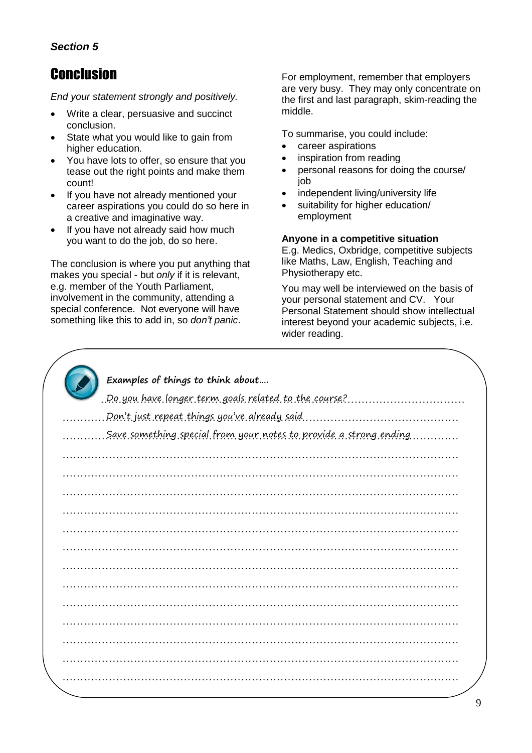#### *Section 5*

### Conclusion

*End your statement strongly and positively.*

- Write a clear, persuasive and succinct conclusion.
- State what you would like to gain from higher education.
- You have lots to offer, so ensure that you tease out the right points and make them count!
- If you have not already mentioned your career aspirations you could do so here in a creative and imaginative way.
- If you have not already said how much you want to do the job, do so here.

The conclusion is where you put anything that makes you special - but *only* if it is relevant, e.g. member of the Youth Parliament, involvement in the community, attending a special conference. Not everyone will have something like this to add in, so *don't panic*.

For employment, remember that employers are very busy. They may only concentrate on the first and last paragraph, skim-reading the middle.

To summarise, you could include:

- career aspirations
- inspiration from reading
- personal reasons for doing the course/ job
- independent living/university life
- suitability for higher education/ employment

#### **Anyone in a competitive situation**

E.g. Medics, Oxbridge, competitive subjects like Maths, Law, English, Teaching and Physiotherapy etc.

You may well be interviewed on the basis of your personal statement and CV. Your Personal Statement should show intellectual interest beyond your academic subjects, i.e. wider reading.

| Examples of things to think about<br>.Do.you have longer term goals related to the course? |
|--------------------------------------------------------------------------------------------|
|                                                                                            |
| . Don't just repeat things you've already said.                                            |
| Save something special from your notes to provide a strong ending.                         |
|                                                                                            |
|                                                                                            |
|                                                                                            |
|                                                                                            |
|                                                                                            |
|                                                                                            |
|                                                                                            |
|                                                                                            |
|                                                                                            |
|                                                                                            |
|                                                                                            |
|                                                                                            |
|                                                                                            |